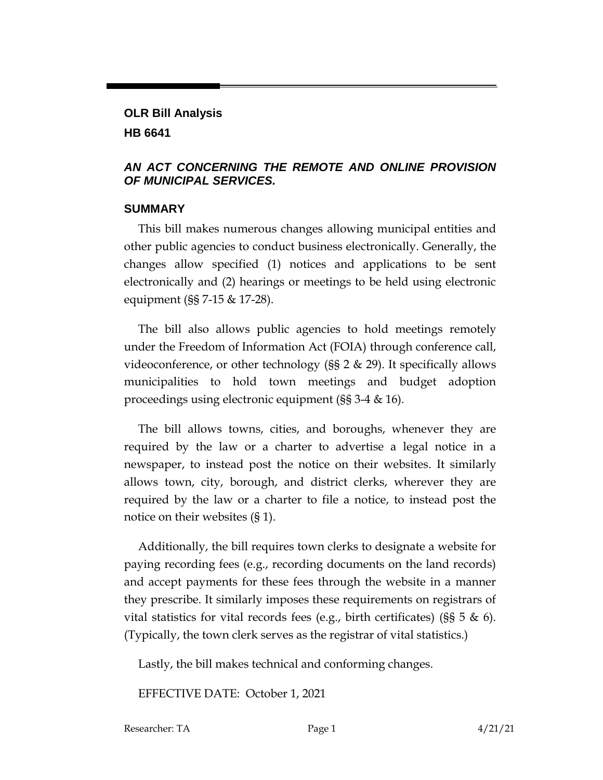# **OLR Bill Analysis HB 6641**

# *AN ACT CONCERNING THE REMOTE AND ONLINE PROVISION OF MUNICIPAL SERVICES.*

#### **SUMMARY**

This bill makes numerous changes allowing municipal entities and other public agencies to conduct business electronically. Generally, the changes allow specified (1) notices and applications to be sent electronically and (2) hearings or meetings to be held using electronic equipment (§§ 7-15 & 17-28).

The bill also allows public agencies to hold meetings remotely under the Freedom of Information Act (FOIA) through conference call, videoconference, or other technology (§§ 2 & 29). It specifically allows municipalities to hold town meetings and budget adoption proceedings using electronic equipment (§§ 3-4 & 16).

The bill allows towns, cities, and boroughs, whenever they are required by the law or a charter to advertise a legal notice in a newspaper, to instead post the notice on their websites. It similarly allows town, city, borough, and district clerks, wherever they are required by the law or a charter to file a notice, to instead post the notice on their websites (§ 1).

Additionally, the bill requires town clerks to designate a website for paying recording fees (e.g., recording documents on the land records) and accept payments for these fees through the website in a manner they prescribe. It similarly imposes these requirements on registrars of vital statistics for vital records fees (e.g., birth certificates) ( $\S$ § 5 & 6). (Typically, the town clerk serves as the registrar of vital statistics.)

Lastly, the bill makes technical and conforming changes.

EFFECTIVE DATE: October 1, 2021

Researcher: TA Page 1 4/21/21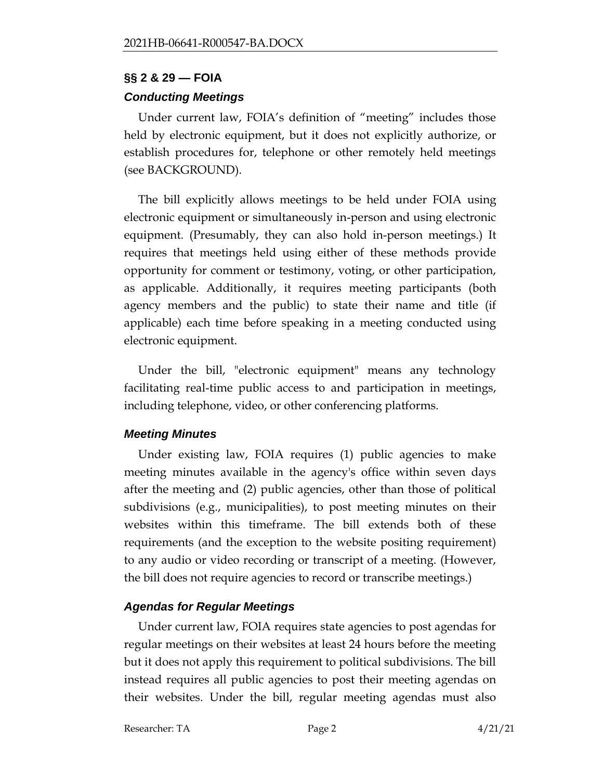## **§§ 2 & 29 — FOIA**

# *Conducting Meetings*

Under current law, FOIA's definition of "meeting" includes those held by electronic equipment, but it does not explicitly authorize, or establish procedures for, telephone or other remotely held meetings (see BACKGROUND).

The bill explicitly allows meetings to be held under FOIA using electronic equipment or simultaneously in-person and using electronic equipment. (Presumably, they can also hold in-person meetings.) It requires that meetings held using either of these methods provide opportunity for comment or testimony, voting, or other participation, as applicable. Additionally, it requires meeting participants (both agency members and the public) to state their name and title (if applicable) each time before speaking in a meeting conducted using electronic equipment.

Under the bill, "electronic equipment" means any technology facilitating real-time public access to and participation in meetings, including telephone, video, or other conferencing platforms.

# *Meeting Minutes*

Under existing law, FOIA requires (1) public agencies to make meeting minutes available in the agency's office within seven days after the meeting and (2) public agencies, other than those of political subdivisions (e.g., municipalities), to post meeting minutes on their websites within this timeframe. The bill extends both of these requirements (and the exception to the website positing requirement) to any audio or video recording or transcript of a meeting. (However, the bill does not require agencies to record or transcribe meetings.)

# *Agendas for Regular Meetings*

Under current law, FOIA requires state agencies to post agendas for regular meetings on their websites at least 24 hours before the meeting but it does not apply this requirement to political subdivisions. The bill instead requires all public agencies to post their meeting agendas on their websites. Under the bill, regular meeting agendas must also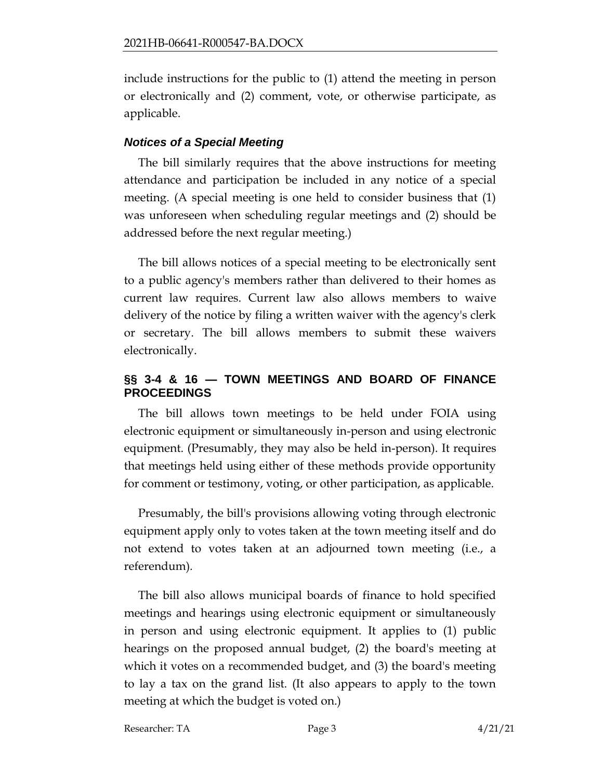include instructions for the public to (1) attend the meeting in person or electronically and (2) comment, vote, or otherwise participate, as applicable.

## *Notices of a Special Meeting*

The bill similarly requires that the above instructions for meeting attendance and participation be included in any notice of a special meeting. (A special meeting is one held to consider business that (1) was unforeseen when scheduling regular meetings and (2) should be addressed before the next regular meeting.)

The bill allows notices of a special meeting to be electronically sent to a public agency's members rather than delivered to their homes as current law requires. Current law also allows members to waive delivery of the notice by filing a written waiver with the agency's clerk or secretary. The bill allows members to submit these waivers electronically.

# **§§ 3-4 & 16 — TOWN MEETINGS AND BOARD OF FINANCE PROCEEDINGS**

The bill allows town meetings to be held under FOIA using electronic equipment or simultaneously in-person and using electronic equipment. (Presumably, they may also be held in-person). It requires that meetings held using either of these methods provide opportunity for comment or testimony, voting, or other participation, as applicable.

Presumably, the bill's provisions allowing voting through electronic equipment apply only to votes taken at the town meeting itself and do not extend to votes taken at an adjourned town meeting (i.e., a referendum).

The bill also allows municipal boards of finance to hold specified meetings and hearings using electronic equipment or simultaneously in person and using electronic equipment. It applies to (1) public hearings on the proposed annual budget, (2) the board's meeting at which it votes on a recommended budget, and (3) the board's meeting to lay a tax on the grand list. (It also appears to apply to the town meeting at which the budget is voted on.)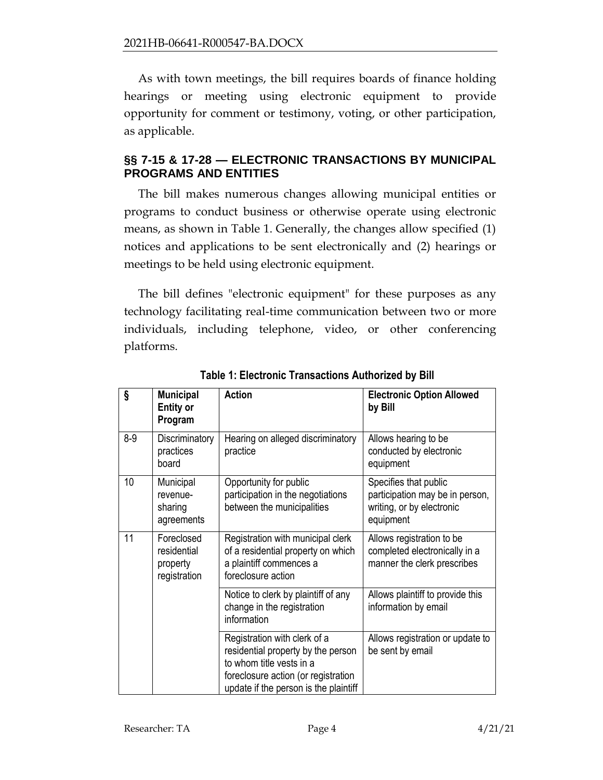As with town meetings, the bill requires boards of finance holding hearings or meeting using electronic equipment to provide opportunity for comment or testimony, voting, or other participation, as applicable.

# **§§ 7-15 & 17-28 — ELECTRONIC TRANSACTIONS BY MUNICIPAL PROGRAMS AND ENTITIES**

The bill makes numerous changes allowing municipal entities or programs to conduct business or otherwise operate using electronic means, as shown in Table 1. Generally, the changes allow specified (1) notices and applications to be sent electronically and (2) hearings or meetings to be held using electronic equipment.

The bill defines "electronic equipment" for these purposes as any technology facilitating real-time communication between two or more individuals, including telephone, video, or other conferencing platforms.

| Ş     | <b>Municipal</b><br><b>Entity or</b><br>Program       | <b>Action</b>                                                                                                                                                                  | <b>Electronic Option Allowed</b><br>by Bill                                                        |
|-------|-------------------------------------------------------|--------------------------------------------------------------------------------------------------------------------------------------------------------------------------------|----------------------------------------------------------------------------------------------------|
| $8-9$ | Discriminatory<br>practices<br>board                  | Hearing on alleged discriminatory<br>practice                                                                                                                                  | Allows hearing to be<br>conducted by electronic<br>equipment                                       |
| 10    | Municipal<br>revenue-<br>sharing<br>agreements        | Opportunity for public<br>participation in the negotiations<br>between the municipalities                                                                                      | Specifies that public<br>participation may be in person,<br>writing, or by electronic<br>equipment |
| 11    | Foreclosed<br>residential<br>property<br>registration | Registration with municipal clerk<br>of a residential property on which<br>a plaintiff commences a<br>foreclosure action                                                       | Allows registration to be<br>completed electronically in a<br>manner the clerk prescribes          |
|       |                                                       | Notice to clerk by plaintiff of any<br>change in the registration<br>information                                                                                               | Allows plaintiff to provide this<br>information by email                                           |
|       |                                                       | Registration with clerk of a<br>residential property by the person<br>to whom title vests in a<br>foreclosure action (or registration<br>update if the person is the plaintiff | Allows registration or update to<br>be sent by email                                               |

**Table 1: Electronic Transactions Authorized by Bill**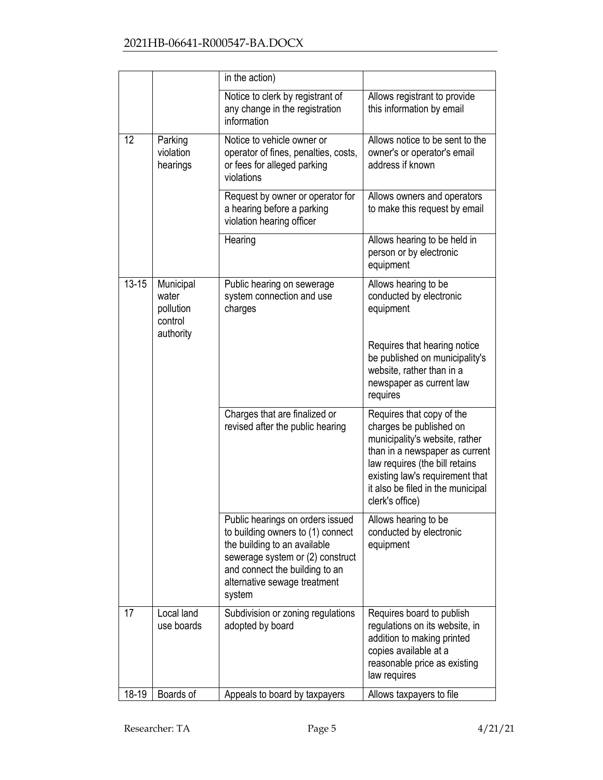|           |                                            | in the action)                                                                                                                                                                                                        |                                                                                                                                                                                                                                                       |
|-----------|--------------------------------------------|-----------------------------------------------------------------------------------------------------------------------------------------------------------------------------------------------------------------------|-------------------------------------------------------------------------------------------------------------------------------------------------------------------------------------------------------------------------------------------------------|
|           |                                            | Notice to clerk by registrant of<br>any change in the registration<br>information                                                                                                                                     | Allows registrant to provide<br>this information by email                                                                                                                                                                                             |
| 12        | Parking<br>violation<br>hearings           | Notice to vehicle owner or<br>operator of fines, penalties, costs,<br>or fees for alleged parking<br>violations                                                                                                       | Allows notice to be sent to the<br>owner's or operator's email<br>address if known                                                                                                                                                                    |
|           |                                            | Request by owner or operator for<br>a hearing before a parking<br>violation hearing officer                                                                                                                           | Allows owners and operators<br>to make this request by email                                                                                                                                                                                          |
|           |                                            | Hearing                                                                                                                                                                                                               | Allows hearing to be held in<br>person or by electronic<br>equipment                                                                                                                                                                                  |
| $13 - 15$ | Municipal<br>water<br>pollution<br>control | Public hearing on sewerage<br>system connection and use<br>charges                                                                                                                                                    | Allows hearing to be<br>conducted by electronic<br>equipment                                                                                                                                                                                          |
|           | authority                                  |                                                                                                                                                                                                                       | Requires that hearing notice<br>be published on municipality's<br>website, rather than in a<br>newspaper as current law<br>requires                                                                                                                   |
|           |                                            | Charges that are finalized or<br>revised after the public hearing                                                                                                                                                     | Requires that copy of the<br>charges be published on<br>municipality's website, rather<br>than in a newspaper as current<br>law requires (the bill retains<br>existing law's requirement that<br>it also be filed in the municipal<br>clerk's office) |
|           |                                            | Public hearings on orders issued<br>to building owners to (1) connect<br>the building to an available<br>sewerage system or (2) construct<br>and connect the building to an<br>alternative sewage treatment<br>system | Allows hearing to be<br>conducted by electronic<br>equipment                                                                                                                                                                                          |
| 17        | Local land<br>use boards                   | Subdivision or zoning regulations<br>adopted by board                                                                                                                                                                 | Requires board to publish<br>regulations on its website, in<br>addition to making printed<br>copies available at a<br>reasonable price as existing<br>law requires                                                                                    |
| 18-19     | Boards of                                  | Appeals to board by taxpayers                                                                                                                                                                                         | Allows taxpayers to file                                                                                                                                                                                                                              |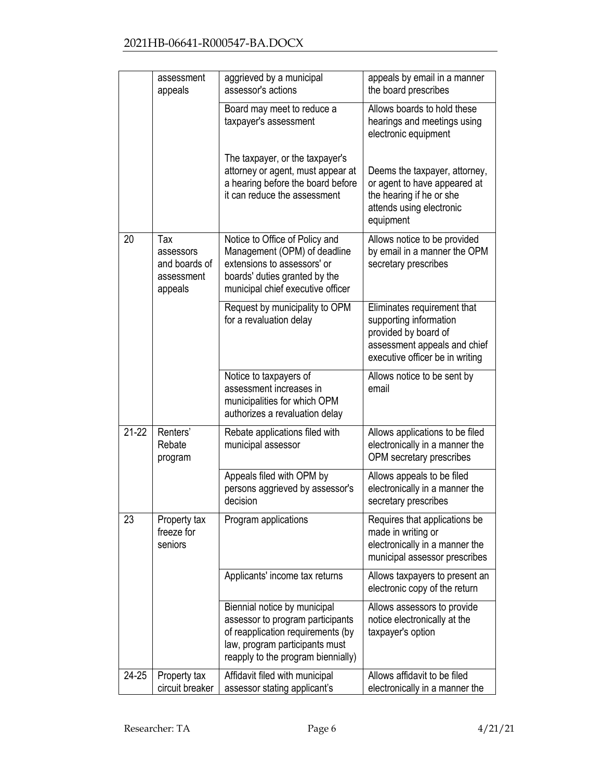|         | assessment<br>appeals                                      | aggrieved by a municipal<br>assessor's actions                                                                                                                                | appeals by email in a manner<br>the board prescribes                                                                                             |
|---------|------------------------------------------------------------|-------------------------------------------------------------------------------------------------------------------------------------------------------------------------------|--------------------------------------------------------------------------------------------------------------------------------------------------|
|         |                                                            | Board may meet to reduce a<br>taxpayer's assessment                                                                                                                           | Allows boards to hold these<br>hearings and meetings using<br>electronic equipment                                                               |
|         |                                                            | The taxpayer, or the taxpayer's<br>attorney or agent, must appear at<br>a hearing before the board before<br>it can reduce the assessment                                     | Deems the taxpayer, attorney,<br>or agent to have appeared at<br>the hearing if he or she<br>attends using electronic<br>equipment               |
| 20      | Tax<br>assessors<br>and boards of<br>assessment<br>appeals | Notice to Office of Policy and<br>Management (OPM) of deadline<br>extensions to assessors' or<br>boards' duties granted by the<br>municipal chief executive officer           | Allows notice to be provided<br>by email in a manner the OPM<br>secretary prescribes                                                             |
|         |                                                            | Request by municipality to OPM<br>for a revaluation delay                                                                                                                     | Eliminates requirement that<br>supporting information<br>provided by board of<br>assessment appeals and chief<br>executive officer be in writing |
|         |                                                            | Notice to taxpayers of<br>assessment increases in<br>municipalities for which OPM<br>authorizes a revaluation delay                                                           | Allows notice to be sent by<br>email                                                                                                             |
| $21-22$ | Renters'<br>Rebate<br>program                              | Rebate applications filed with<br>municipal assessor                                                                                                                          | Allows applications to be filed<br>electronically in a manner the<br>OPM secretary prescribes                                                    |
|         |                                                            | Appeals filed with OPM by<br>persons aggrieved by assessor's<br>decision                                                                                                      | Allows appeals to be filed<br>electronically in a manner the<br>secretary prescribes                                                             |
| 23      | Property tax<br>freeze for<br>seniors                      | Program applications                                                                                                                                                          | Requires that applications be<br>made in writing or<br>electronically in a manner the<br>municipal assessor prescribes                           |
|         |                                                            | Applicants' income tax returns                                                                                                                                                | Allows taxpayers to present an<br>electronic copy of the return                                                                                  |
|         |                                                            | Biennial notice by municipal<br>assessor to program participants<br>of reapplication requirements (by<br>law, program participants must<br>reapply to the program biennially) | Allows assessors to provide<br>notice electronically at the<br>taxpayer's option                                                                 |
| 24-25   | Property tax<br>circuit breaker                            | Affidavit filed with municipal<br>assessor stating applicant's                                                                                                                | Allows affidavit to be filed<br>electronically in a manner the                                                                                   |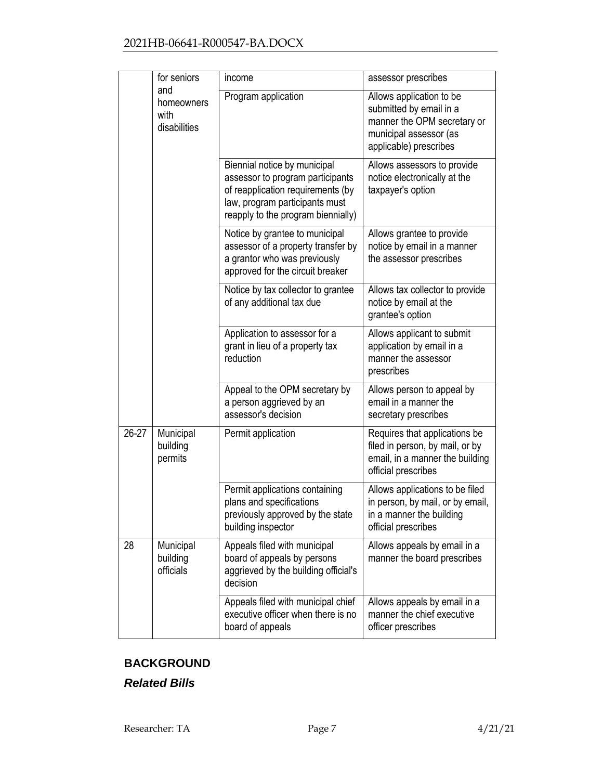|       | for seniors                               | income                                                                                                                                                                        | assessor prescribes                                                                                                                    |
|-------|-------------------------------------------|-------------------------------------------------------------------------------------------------------------------------------------------------------------------------------|----------------------------------------------------------------------------------------------------------------------------------------|
|       | and<br>homeowners<br>with<br>disabilities | Program application                                                                                                                                                           | Allows application to be<br>submitted by email in a<br>manner the OPM secretary or<br>municipal assessor (as<br>applicable) prescribes |
|       |                                           | Biennial notice by municipal<br>assessor to program participants<br>of reapplication requirements (by<br>law, program participants must<br>reapply to the program biennially) | Allows assessors to provide<br>notice electronically at the<br>taxpayer's option                                                       |
|       |                                           | Notice by grantee to municipal<br>assessor of a property transfer by<br>a grantor who was previously<br>approved for the circuit breaker                                      | Allows grantee to provide<br>notice by email in a manner<br>the assessor prescribes                                                    |
|       |                                           | Notice by tax collector to grantee<br>of any additional tax due                                                                                                               | Allows tax collector to provide<br>notice by email at the<br>grantee's option                                                          |
|       |                                           | Application to assessor for a<br>grant in lieu of a property tax<br>reduction                                                                                                 | Allows applicant to submit<br>application by email in a<br>manner the assessor<br>prescribes                                           |
|       |                                           | Appeal to the OPM secretary by<br>a person aggrieved by an<br>assessor's decision                                                                                             | Allows person to appeal by<br>email in a manner the<br>secretary prescribes                                                            |
| 26-27 | Municipal<br>building<br>permits          | Permit application                                                                                                                                                            | Requires that applications be<br>filed in person, by mail, or by<br>email, in a manner the building<br>official prescribes             |
|       |                                           | Permit applications containing<br>plans and specifications<br>previously approved by the state<br>building inspector                                                          | Allows applications to be filed<br>in person, by mail, or by email,<br>in a manner the building<br>official prescribes                 |
| 28    | Municipal<br>building<br>officials        | Appeals filed with municipal<br>board of appeals by persons<br>aggrieved by the building official's<br>decision                                                               | Allows appeals by email in a<br>manner the board prescribes                                                                            |
|       |                                           | Appeals filed with municipal chief<br>executive officer when there is no<br>board of appeals                                                                                  | Allows appeals by email in a<br>manner the chief executive<br>officer prescribes                                                       |

# **BACKGROUND**

*Related Bills*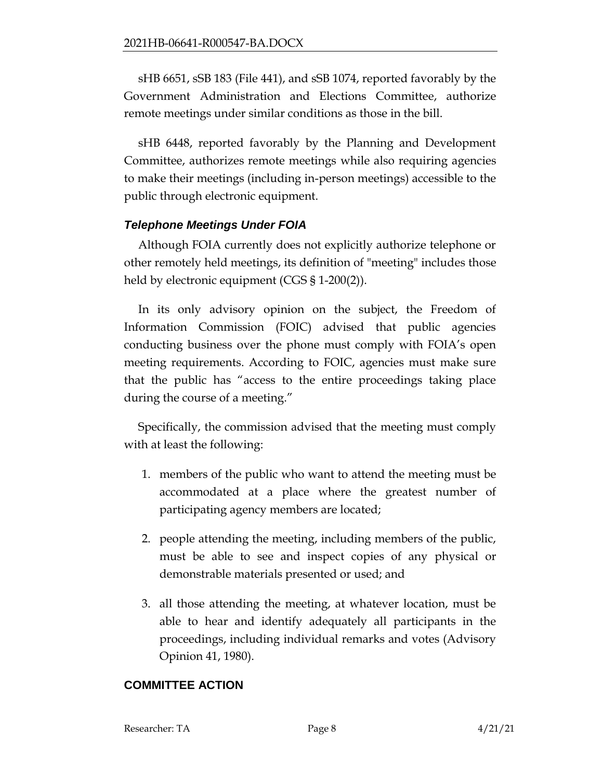sHB 6651, sSB 183 (File 441), and sSB 1074, reported favorably by the Government Administration and Elections Committee, authorize remote meetings under similar conditions as those in the bill.

sHB 6448, reported favorably by the Planning and Development Committee, authorizes remote meetings while also requiring agencies to make their meetings (including in-person meetings) accessible to the public through electronic equipment.

# *Telephone Meetings Under FOIA*

Although FOIA currently does not explicitly authorize telephone or other remotely held meetings, its definition of "meeting" includes those held by electronic equipment (CGS § 1-200(2)).

In its only advisory opinion on the subject, the Freedom of Information Commission (FOIC) advised that public agencies conducting business over the phone must comply with FOIA's open meeting requirements. According to FOIC, agencies must make sure that the public has "access to the entire proceedings taking place during the course of a meeting."

Specifically, the commission advised that the meeting must comply with at least the following:

- 1. members of the public who want to attend the meeting must be accommodated at a place where the greatest number of participating agency members are located;
- 2. people attending the meeting, including members of the public, must be able to see and inspect copies of any physical or demonstrable materials presented or used; and
- 3. all those attending the meeting, at whatever location, must be able to hear and identify adequately all participants in the proceedings, including individual remarks and votes (Advisory Opinion 41, 1980).

# **COMMITTEE ACTION**